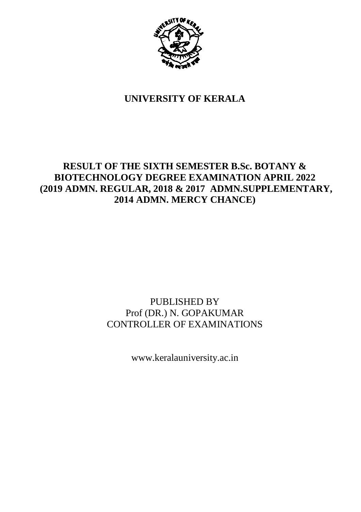

## **UNIVERSITY OF KERALA**

## **RESULT OF THE SIXTH SEMESTER B.Sc. BOTANY & BIOTECHNOLOGY DEGREE EXAMINATION APRIL 2022 (2019 ADMN. REGULAR, 2018 & 2017 ADMN.SUPPLEMENTARY, 2014 ADMN. MERCY CHANCE)**

## PUBLISHED BY Prof (DR.) N. GOPAKUMAR CONTROLLER OF EXAMINATIONS

www.keralauniversity.ac.in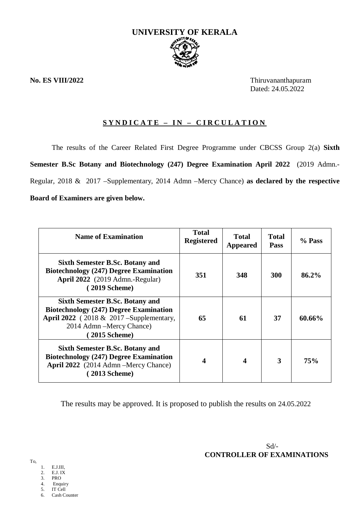

**No. ES VIII/2022** Thiruvananthapuram Dated: 24.05.2022

### **S Y N D I C A T E – I N – C I R C U L A T I O N**

The results of the Career Related First Degree Programme under CBCSS Group 2(a) **Sixth Semester B.Sc Botany and Biotechnology (247) Degree Examination April 2022** (2019 Admn.- Regular, 2018 & 2017 –Supplementary, 2014 Admn –Mercy Chance) **as declared by the respective Board of Examiners are given below.**

| <b>Name of Examination</b>                                                                                                                                                        | <b>Total</b><br><b>Registered</b> | Total<br><b>Appeared</b> | <b>Total</b><br><b>Pass</b> | % Pass |
|-----------------------------------------------------------------------------------------------------------------------------------------------------------------------------------|-----------------------------------|--------------------------|-----------------------------|--------|
| Sixth Semester B.Sc. Botany and<br><b>Biotechnology (247) Degree Examination</b><br>April 2022 (2019 Admn.-Regular)<br>(2019 Scheme)                                              | 351                               | 348                      | 300                         | 86.2%  |
| <b>Sixth Semester B.Sc. Botany and</b><br><b>Biotechnology (247) Degree Examination</b><br>April 2022 (2018 & 2017 – Supplementary,<br>2014 Admn - Mercy Chance)<br>(2015 Scheme) | 65                                | 61                       | 37                          | 60.66% |
| Sixth Semester B.Sc. Botany and<br><b>Biotechnology (247) Degree Examination</b><br>April 2022 (2014 Admn – Mercy Chance)<br>(2013 Scheme)                                        | 4                                 | 4                        | 3                           | 75%    |

The results may be approved. It is proposed to publish the results on 24.05.2022

- 1. E.J.III,
- 2. E.J. IX
- 3. PRO
- 4. Enquiry
- 5. IT Cell<br>6. Cash Co Cash Counter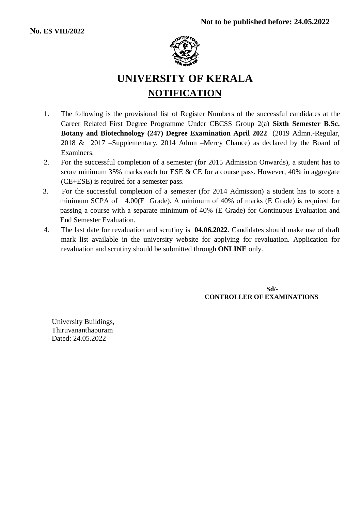

# **UNIVERSITY OF KERALA NOTIFICATION**

- 1. The following is the provisional list of Register Numbers of the successful candidates at the Career Related First Degree Programme Under CBCSS Group 2(a) **Sixth Semester B.Sc. Botany and Biotechnology (247) Degree Examination April 2022** (2019 Admn.-Regular, 2018 & 2017 –Supplementary, 2014 Admn –Mercy Chance) as declared by the Board of Examiners.
- 2. For the successful completion of a semester (for 2015 Admission Onwards), a student has to score minimum 35% marks each for ESE & CE for a course pass. However, 40% in aggregate (CE+ESE) is required for a semester pass.
- 3. For the successful completion of a semester (for 2014 Admission) a student has to score a minimum SCPA of 4.00(E Grade). A minimum of 40% of marks (E Grade) is required for passing a course with a separate minimum of 40% (E Grade) for Continuous Evaluation and End Semester Evaluation.
- 4. The last date for revaluation and scrutiny is **04.06.2022**. Candidates should make use of draft mark list available in the university website for applying for revaluation. Application for revaluation and scrutiny should be submitted through **ONLINE** only.

**Sd/- CONTROLLER OF EXAMINATIONS**

University Buildings, Thiruvananthapuram Dated: 24.05.2022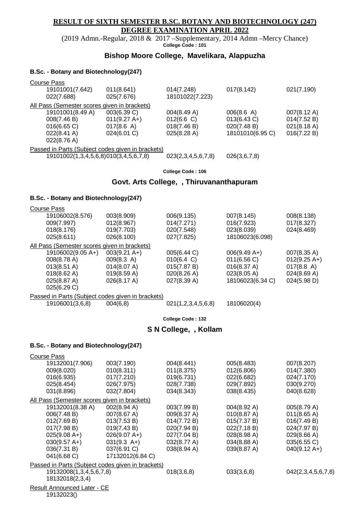#### **RESULT OF SIXTH SEMESTER B.SC. BOTANY AND BIOTECHNOLOGY (247) DEGREE EXAMINATION APRIL 2022**

(2019 Admn.-Regular, 2018 & 2017 –Supplementary, 2014 Admn –Mercy Chance) **College Code : 101**

#### **Bishop Moore College, Mavelikara, Alappuzha**

#### **B.Sc. - Botany and Biotechnology(247)**

| Course Pass                                       |                |                    |                  |                       |
|---------------------------------------------------|----------------|--------------------|------------------|-----------------------|
| 19101001(7.642)                                   | 011(8.641)     | 014(7.248)         | 017(8.142)       | 021(7.190)            |
| 022(7.688)                                        | 025(7.676)     | 18101022(7.223)    |                  |                       |
| All Pass (Semester scores given in brackets)      |                |                    |                  |                       |
| 19101001(8.49 A)                                  | 003(6.39 C)    | 004(8.49 A)        | 006(8.6 A)       | $007(8.12 \text{ A})$ |
| 008(7.46 B)                                       | $011(9.27 A+)$ | 012(6.6)           | 013(6.43 C)      | 014(7.52 B)           |
| 016(6.65 C)                                       | 017(8.6 A)     | 018(7.46 B)        | 020(7.48 B)      | 021(8.18 A)           |
| $022(8.41 \text{ A})$                             | 024(6.01 C)    | 025(8.28 A)        | 18101010(6.95 C) | 016(7.22 B)           |
| 022(8.76 A)                                       |                |                    |                  |                       |
| Passed in Parts (Subject codes given in brackets) |                |                    |                  |                       |
| 19101002(1,3,4,5,6,8)010(3,4,5,6,7,8)             |                | 023(2,3,4,5,6,7,8) | 026(3,6,7,8)     |                       |
|                                                   |                |                    |                  |                       |

**College Code : 106**

#### **Govt. Arts College, , Thiruvananthapuram**

#### **B.Sc. - Botany and Biotechnology(247)**

| Course Pass                                       |                        |                      |                  |                       |
|---------------------------------------------------|------------------------|----------------------|------------------|-----------------------|
| 19106002(8.576)                                   | 003(8.909)             | 006(9.135)           | 007(8.145)       | 008(8.138)            |
| 009(7.997)                                        | 012(8.967)             | 014(7.271)           | 016(7.923)       | 017(8.327)            |
| 018(8.176)                                        | 019(7.703)             | 020(7.548)           | 023(8.039)       | 024(8.469)            |
| 025(8.611)                                        | 026(8.100)             | 027(7.825)           | 18106023(6.098)  |                       |
| All Pass (Semester scores given in brackets)      |                        |                      |                  |                       |
| 19106002(9.05 A+)                                 | $003(9.21 \text{ A+})$ | 005(6.44 C)          | $006(9.49 A+)$   | $007(8.35 \text{ A})$ |
| 008(8.78 A)                                       | $009(8.3 \text{ A})$   | $010(6.4 \text{ C})$ | 011(6.56 C)      | $012(9.25 A+)$        |
| $013(8.51 \text{ A})$                             | 014(8.07 A)            | 015(7.87 B)          | 016(8.37 A)      | 017(8.8 A)            |
| $018(8.62 \text{ A})$                             | 019(8.59 A)            | 020(8.26 A)          | 023(8.05 A)      | 024(8.69 A)           |
| 025(8.87 A)                                       | 026(8.17 A)            | 027(8.39 A)          | 18106023(6.34 C) | 024(5.98 D)           |
| 025(6.29 C)                                       |                        |                      |                  |                       |
| Passed in Parts (Subject codes given in brackets) |                        |                      |                  |                       |
| 19106001(3,6,8)                                   | 004(6,8)               | 021(1,2,3,4,5,6,8)   | 18106020(4)      |                       |

**College Code : 132**

#### **S N College, , Kollam**

#### **B.Sc. - Botany and Biotechnology(247)**

| <b>Course Pass</b>                                |                  |                       |             |                        |
|---------------------------------------------------|------------------|-----------------------|-------------|------------------------|
| 19132001(7.906)                                   | 003(7.190)       | 004(8.441)            | 005(8.483)  | 007(8.207)             |
| 009(8.020)                                        | 010(8.311)       | 011(8.375)            | 012(6.806)  | 014(7.380)             |
| 016(6.935)                                        | 017(7.210)       | 019(6.731)            | 022(6.682)  | 024(7.170)             |
| 025(8.454)                                        | 026(7.975)       | 028(7.738)            | 029(7.892)  | 030(9.270)             |
| 031(8.896)                                        | 032(7.804)       | 034(8.343)            | 038(8.435)  | 040(8.628)             |
| All Pass (Semester scores given in brackets)      |                  |                       |             |                        |
| 19132001(8.38 A)                                  | 002(8.94 A)      | 003(7.99 B)           | 004(8.92 A) | 005(8.79 A)            |
| 006(7.48 B)                                       | 007(8.67 A)      | 009(8.37 A)           | 010(8.87 A) | 011(8.65 A)            |
| 012(7.69 B)                                       | 013(7.53 B)      | 014(7.72 B)           | 015(7.37 B) | 016(7.49 B)            |
| 017(7.98 B)                                       | 019(7.43 B)      | 020(7.94 B)           | 022(7.18 B) | 024(7.97 B)            |
| $025(9.08 A+)$                                    | $026(9.07 A+)$   | 027(7.04 B)           | 028(8.98 A) | 029(8.66 A)            |
| $030(9.57 \text{ A+})$                            | $031(9.3 A+)$    | 032(8.77 A)           | 034(8.88 A) | 035(6.55 C)            |
| 036(7.31 B)                                       | 037(6.91 C)      | $038(8.94 \text{ A})$ | 039(8.87 A) | $040(9.12 \text{ A+})$ |
| 041(6.68 C)                                       | 17132012(6.84 C) |                       |             |                        |
| Passed in Parts (Subject codes given in brackets) |                  |                       |             |                        |
| 19132008(1,3,4,5,6,7,8)                           |                  | 018(3,6,8)            | 033(3,6,8)  | 042(2,3,4,5,6,7,8)     |
| 18132018(2,3,4)                                   |                  |                       |             |                        |
| <b>Result Announced Later - CE</b>                |                  |                       |             |                        |
| 19132023()                                        |                  |                       |             |                        |
|                                                   |                  |                       |             |                        |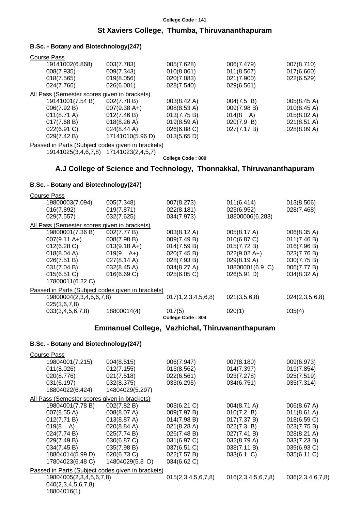#### **College Code : 141 St Xaviers College, Thumba, Thiruvananthapuram**

#### **B.Sc. - Botany and Biotechnology(247)**

| Course Pass                                  |                       |             |                    |                       |
|----------------------------------------------|-----------------------|-------------|--------------------|-----------------------|
| 19141002(6.868)                              | 003(7.783)            | 005(7.628)  | 006(7.479)         | 007(8.710)            |
| 008(7.935)                                   | 009(7.343)            | 010(8.061)  | 011(8.567)         | 017(6.660)            |
| 018(7.565)                                   | 019(8.056)            | 020(7.083)  | 021(7.900)         | 022(6.529)            |
| 024(7.766)                                   | 026(6.001)            | 028(7.540)  | 029(6.561)         |                       |
| All Pass (Semester scores given in brackets) |                       |             |                    |                       |
| 19141001(7.54 B)                             | 002(7.78 B)           | 003(8.42 A) | 004(7.5 B)         | 005(8.45 A)           |
| 006(7.92 B)                                  | $007(9.38 A+)$        | 008(8.53 A) | 009(7.98 B)        | 010(8.45 A)           |
| $011(8.71 \text{ A})$                        | 012(7.46 B)           | 013(7.75 B) | $014(8 \text{ A})$ | 015(8.02 A)           |
| 017(7.68 B)                                  | $018(8.26 \text{ A})$ | 019(8.59 A) | 020(7.9 B)         | $021(8.51 \text{ A})$ |
| 022(6.91 C)                                  | 024(8.44 A)           | 026(6.88 C) | 027(7.17 B)        | 028(8.09 A)           |
| 029(7.42 B)                                  | 17141010(5.96 D)      | 013(5.65 D) |                    |                       |

Passed in Parts (Subject codes given in brackets)

19141025(3,4,6,7,8) 17141023(2,4,5,7)

**College Code : 800**

### **A.J College of Science and Technology, Thonnakkal, Thiruvananthapuram**

#### **B.Sc. - Botany and Biotechnology(247)**

| <b>Course Pass</b>                                |                       |                       |                 |                |
|---------------------------------------------------|-----------------------|-----------------------|-----------------|----------------|
| 19800003(7.094)                                   | 005(7.348)            | 007(8.273)            | 011(6.414)      | 013(8.506)     |
| 016(7.892)                                        | 019(7.871)            | 022(8.181)            | 023(6.952)      | 028(7.468)     |
| 029(7.557)                                        | 032(7.625)            | 034(7.973)            | 18800006(6.283) |                |
| All Pass (Semester scores given in brackets)      |                       |                       |                 |                |
| 19800001(7.36 B)                                  | 002(7.77 B)           | $003(8.12 \text{ A})$ | 005(8.17 A)     | 006(8.35 A)    |
| $007(9.11 \text{ A+})$                            | 008(7.98 B)           | 009(7.49 B)           | 010(6.87 C)     | 011(7.46 B)    |
| 012(6.28)                                         | $013(9.18 A+)$        | 014(7.59 B)           | 015(7.72 B)     | 016(7.96 B)    |
| 018(8.04 A)                                       | $019(9 \text{ A+})$   | 020(7.45 B)           | $022(9.02 A+)$  | 023(7.76 B)    |
| 026(7.51 B)                                       | $027(8.14 \text{ A})$ | 028(7.93 B)           | 029(8.19 A)     | 030(7.75 B)    |
| 031(7.04 B)                                       | 032(8.45 A)           | 034(8.27 A)           | 18800001(6.9 C) | 006(7.77 B)    |
| 015(6.51 C)                                       | 016(6.69 C)           | 025(6.05 C)           | 026(5.91 D)     | 034(8.32 A)    |
| 17800011(6.22 C)                                  |                       |                       |                 |                |
| Passed in Parts (Subject codes given in brackets) |                       |                       |                 |                |
| 19800004(2,3,4,5,6,7,8)                           |                       | 017(1,2,3,4,5,6,8)    | 021(3,5,6,8)    | 024(2,3,5,6,8) |
| 025(3,6,7,8)                                      |                       |                       |                 |                |
| 033(3,4,5,6,7,8)                                  | 18800014(4)           | 017(5)                | 020(1)          | 035(4)         |
|                                                   |                       | College Code: 804     |                 |                |

#### **Emmanuel College, Vazhichal, Thiruvananthapuram**

#### **B.Sc. - Botany and Biotechnology(247)**

| <b>Course Pass</b>                                |                 |                    |                       |                       |
|---------------------------------------------------|-----------------|--------------------|-----------------------|-----------------------|
| 19804001(7.215)                                   | 004(8.515)      | 006(7.947)         | 007(8.180)            | 009(6.973)            |
| 011(8.026)                                        | 012(7.155)      | 013(8.562)         | 014(7.397)            | 019(7.854)            |
| 020(8.776)                                        | 021(7.518)      | 022(6.561)         | 023(7.278)            | 025(7.519)            |
| 031(6.197)                                        | 032(8.375)      | 033(6.295)         | 034(6.751)            | 035(7.314)            |
| 18804022(6.424)                                   | 14804029(5.297) |                    |                       |                       |
| All Pass (Semester scores given in brackets)      |                 |                    |                       |                       |
| 19804001(7.78 B)                                  | 002(7.82 B)     | $003(6.21)$ C)     | $004(8.71 \text{ A})$ | 006(8.67 A)           |
| 007(8.55 A)                                       | 008(8.07 A)     | 009(7.97 B)        | 010(7.2 B)            | $011(8.61 \text{ A})$ |
| 012(7.71 B)                                       | 013(8.87 A)     | 014(7.98 B)        | 017(7.37 B)           | 018(6.59 C)           |
| $019(8 \text{ A})$                                | 020(8.84 A)     | 021(8.28 A)        | 022(7.3 B)            | 023(7.75 B)           |
| 024(7.74 B)                                       | 025(7.74 B)     | 026(7.48 B)        | 027(7.41 B)           | $028(8.21 \text{ A})$ |
| 029(7.49 B)                                       | 030(6.87 C)     | 031(6.97 C)        | 032(8.79 A)           | 033(7.23 B)           |
| 034(7.45 B)                                       | 035(7.98 B)     | 037(6.51 C)        | 038(7.11 B)           | 039(6.93 C)           |
| 18804014(5.99 D)                                  | 020(6.73 C)     | 022(7.57 B)        | $033(6.1)$ C)         | 035(6.11 C)           |
| 17804023(6.48 C)                                  | 14804029(5.8 D) | 034(6.62 C)        |                       |                       |
| Passed in Parts (Subject codes given in brackets) |                 |                    |                       |                       |
| 19804005(2,3,4,5,6,7,8)                           |                 | 015(2,3,4,5,6,7,8) | 016(2,3,4,5,6,7,8)    | 036(2,3,4,6,7,8)      |
| 040(2,3,4,5,6,7,8)                                |                 |                    |                       |                       |
| 18804016(1)                                       |                 |                    |                       |                       |
|                                                   |                 |                    |                       |                       |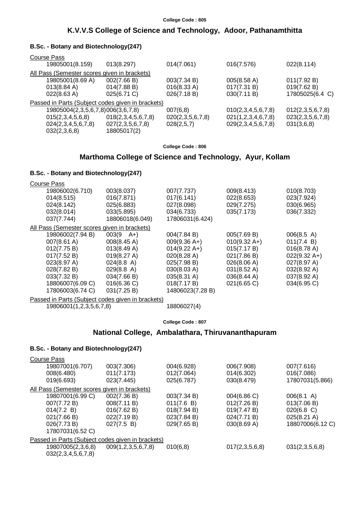#### **College Code : 805**

#### **K.V.V.S College of Science and Technology, Adoor, Pathanamthitta**

#### **B.Sc. - Botany and Biotechnology(247)**

| Course Pass                                  |                                                   |                  |                    |                  |
|----------------------------------------------|---------------------------------------------------|------------------|--------------------|------------------|
| 19805001(8.159)                              | 013(8.297)                                        | 014(7.061)       | 016(7.576)         | 022(8.114)       |
| All Pass (Semester scores given in brackets) |                                                   |                  |                    |                  |
| 19805001(8.69 A)                             | 002(7.66 B)                                       | 003(7.34 B)      | 005(8.58 A)        | 011(7.92 B)      |
| $013(8.84 \text{ A})$                        | 014(7.88 B)                                       | 016(8.33 A)      | 017(7.31 B)        | 019(7.62 B)      |
| $022(8.63 \text{ A})$                        | 025(6.71 C)                                       | 026(7.18 B)      | 030(7.11 B)        | 17805025(6.4 C)  |
|                                              | Passed in Parts (Subject codes given in brackets) |                  |                    |                  |
| 19805004(2,3,5,6,7,8)006(3,6,7,8)            |                                                   | 007(6,8)         | 010(2,3,4,5,6,7,8) | 012(2,3,5,6,7,8) |
| 015(2,3,4,5,6,8)                             | 018(2,3,4,5,6,7,8)                                | 020(2,3,5,6,7,8) | 021(1,2,3,4,6,7,8) | 023(2,3,5,6,7,8) |
| 024(2,3,4,5,6,7,8)                           | 027(2,3,5,6,7,8)                                  | 028(2,5,7)       | 029(2,3,4,5,6,7,8) | 031(3,6,8)       |
| 032(2,3,6,8)                                 | 18805017(2)                                       |                  |                    |                  |

**College Code : 806**

#### **Marthoma College of Science and Technology, Ayur, Kollam**

#### **B.Sc. - Botany and Biotechnology(247)**

| <b>Course Pass</b>                           |                      |                        |                        |                |
|----------------------------------------------|----------------------|------------------------|------------------------|----------------|
| 19806002(6.710)                              | 003(8.037)           | 007(7.737)             | 009(8.413)             | 010(8.703)     |
| 014(8.515)                                   | 016(7.871)           | 017(6.141)             | 022(8.653)             | 023(7.924)     |
| 024(8.142)                                   | 025(6.883)           | 027(8.098)             | 029(7.275)             | 030(6.965)     |
| 032(8.014)                                   | 033(5.895)           | 034(6.733)             | 035(7.173)             | 036(7.332)     |
| 037(7.744)                                   | 18806018(6.049)      | 17806031(6.424)        |                        |                |
| All Pass (Semester scores given in brackets) |                      |                        |                        |                |
| 19806002(7.94 B)                             | $003(9 \text{ A+})$  | 004(7.84 B)            | 005(7.69 B)            | 006(8.5 A)     |
| 007(8.61 A)                                  | 008(8.45 A)          | $009(9.36 A+)$         | $010(9.32 \text{ A+})$ | 011(7.4 B)     |
| 012(7.75 B)                                  | 013(8.49 A)          | $014(9.22 \text{ A+})$ | 015(7.17 B)            | 016(8.78 A)    |
| 017(7.52 B)                                  | 019(8.27 A)          | 020(8.28 A)            | 021(7.86 B)            | $022(9.32 A+)$ |
| 023(8.97 A)                                  | $024(8.8 \text{ A})$ | 025(7.98 B)            | 026(8.06 A)            | 027(8.97 A)    |
| 028(7.82 B)                                  | 029(8.8 A)           | 030(8.03 A)            | $031(8.52 \text{ A})$  | 032(8.92 A)    |
| 033(7.32 B)                                  | 034(7.66 B)          | $035(8.31 \text{ A})$  | $036(8.44 \text{ A})$  | 037(8.92 A)    |
| 18806007(6.09 C)                             | 016(6.36)            | 018(7.17 B)            | 021(6.65 C)            | 034(6.95 C)    |
| 17806003(6.74 C)                             | 031(7.25 B)          | 14806023(7.28 B)       |                        |                |
| $\cdots$ $\sim$ $\sim$ $\sim$ $\cdots$       | .                    |                        |                        |                |

Passed in Parts (Subject codes given in brackets) 19806001(1,2,3,5,6,7,8) 18806027(4)

**College Code : 807**

#### **National College, Ambalathara, Thiruvananthapuram**

#### **B.Sc. - Botany and Biotechnology(247)**

| <b>Course Pass</b>                                |                    |             |                |                       |
|---------------------------------------------------|--------------------|-------------|----------------|-----------------------|
| 19807001(6.707)                                   | 003(7.306)         | 004(6.928)  | 006(7.908)     | 007(7.616)            |
| 008(6.480)                                        | 011(7.173)         | 012(7.064)  | 014(6.302)     | 016(7.086)            |
| 019(6.693)                                        | 023(7.445)         | 025(6.787)  | 030(8.479)     | 17807031(5.866)       |
| All Pass (Semester scores given in brackets)      |                    |             |                |                       |
| 19807001(6.99 C)                                  | 002(7.36 B)        | 003(7.34 B) | 004(6.86 C)    | $006(8.1 \text{ A})$  |
| 007(7.72 B)                                       | 008(7.11 B)        | 011(7.6 B)  | 012(7.26 B)    | 013(7.06 B)           |
| 014(7.2 B)                                        | 016(7.62 B)        | 018(7.94 B) | 019(7.47 B)    | $020(6.8)$ C)         |
| 021(7.66 B)                                       | 022(7.19 B)        | 023(7.84 B) | 024(7.71 B)    | $025(8.21 \text{ A})$ |
| 026(7.73 B)                                       | 027(7.5 B)         | 029(7.65 B) | 030(8.69 A)    | 18807006(6.12 C)      |
| 17807031(6.52 C)                                  |                    |             |                |                       |
| Passed in Parts (Subject codes given in brackets) |                    |             |                |                       |
| 19807005(2,3,6,8)                                 | 009(1,2,3,5,6,7,8) | 010(6,8)    | 017(2,3,5,6,8) | 031(2,3,5,6,8)        |
| 032(2,3,4,5,6,7,8)                                |                    |             |                |                       |